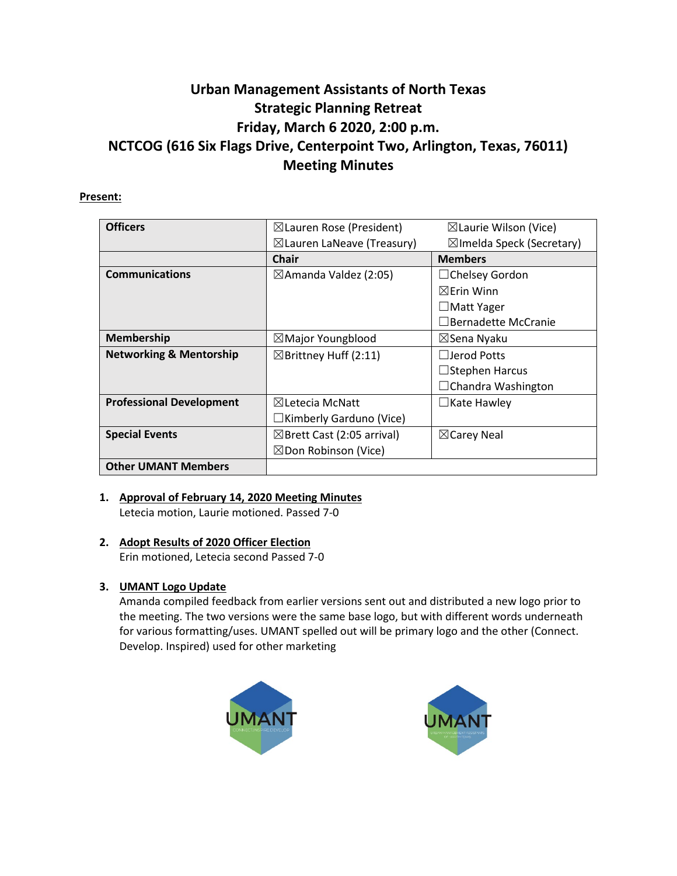# **Urban Management Assistants of North Texas Strategic Planning Retreat Friday, March 6 2020, 2:00 p.m. NCTCOG (616 Six Flags Drive, Centerpoint Two, Arlington, Texas, 76011) Meeting Minutes**

## **Present:**

| <b>Officers</b>                    |                                       |                                      |
|------------------------------------|---------------------------------------|--------------------------------------|
|                                    | $\boxtimes$ Lauren Rose (President)   | $\boxtimes$ Laurie Wilson (Vice)     |
|                                    | $\boxtimes$ Lauren LaNeave (Treasury) | $\boxtimes$ Imelda Speck (Secretary) |
|                                    | <b>Chair</b>                          | <b>Members</b>                       |
| <b>Communications</b>              | $\boxtimes$ Amanda Valdez (2:05)      | $\Box$ Chelsey Gordon                |
|                                    |                                       | $\boxtimes$ Frin Winn                |
|                                    |                                       | $\Box$ Matt Yager                    |
|                                    |                                       | Bernadette McCranie                  |
| <b>Membership</b>                  | $\boxtimes$ Major Youngblood          | ⊠Sena Nyaku                          |
| <b>Networking &amp; Mentorship</b> | $\boxtimes$ Brittney Huff (2:11)      | $\Box$ Jerod Potts                   |
|                                    |                                       | $\Box$ Stephen Harcus                |
|                                    |                                       | $\Box$ Chandra Washington            |
| <b>Professional Development</b>    | $\boxtimes$ Letecia McNatt            | $\Box$ Kate Hawley                   |
|                                    | $\Box$ Kimberly Garduno (Vice)        |                                      |
| <b>Special Events</b>              | $\boxtimes$ Brett Cast (2:05 arrival) | $\boxtimes$ Carey Neal               |
|                                    | $\boxtimes$ Don Robinson (Vice)       |                                      |
| <b>Other UMANT Members</b>         |                                       |                                      |

# **1. Approval of February 14, 2020 Meeting Minutes**

Letecia motion, Laurie motioned. Passed 7-0

# **2. Adopt Results of 2020 Officer Election**

Erin motioned, Letecia second Passed 7-0

# **3. UMANT Logo Update**

Amanda compiled feedback from earlier versions sent out and distributed a new logo prior to the meeting. The two versions were the same base logo, but with different words underneath for various formatting/uses. UMANT spelled out will be primary logo and the other (Connect. Develop. Inspired) used for other marketing



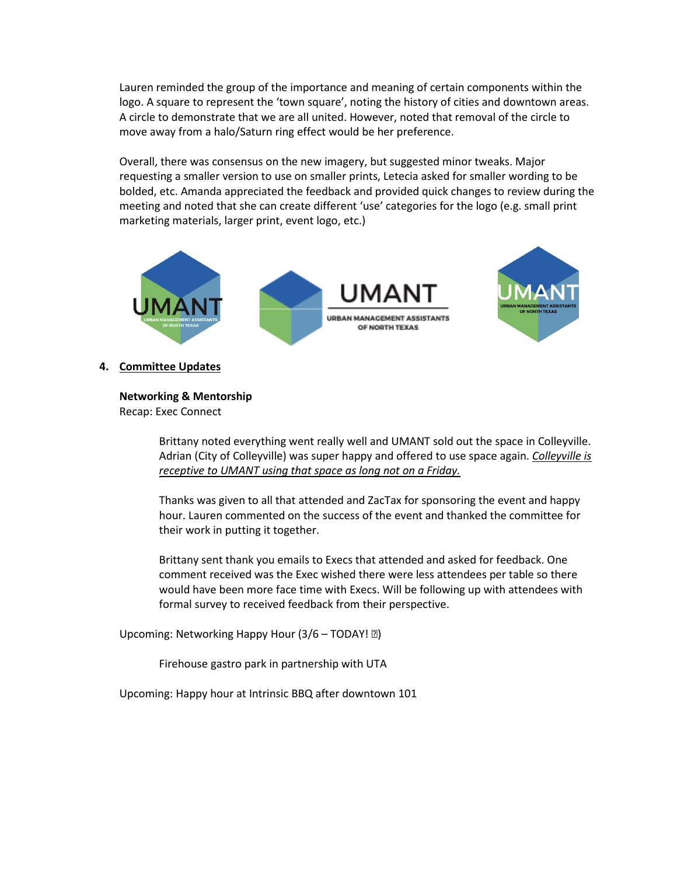Lauren reminded the group of the importance and meaning of certain components within the logo. A square to represent the 'town square', noting the history of cities and downtown areas. A circle to demonstrate that we are all united. However, noted that removal of the circle to move away from a halo/Saturn ring effect would be her preference.

Overall, there was consensus on the new imagery, but suggested minor tweaks. Major requesting a smaller version to use on smaller prints, Letecia asked for smaller wording to be bolded, etc. Amanda appreciated the feedback and provided quick changes to review during the meeting and noted that she can create different 'use' categories for the logo (e.g. small print marketing materials, larger print, event logo, etc.)



### **4. Committee Updates**

**Networking & Mentorship**

Recap: Exec Connect

Brittany noted everything went really well and UMANT sold out the space in Colleyville. Adrian (City of Colleyville) was super happy and offered to use space again. *Colleyville is receptive to UMANT using that space as long not on a Friday.*

Thanks was given to all that attended and ZacTax for sponsoring the event and happy hour. Lauren commented on the success of the event and thanked the committee for their work in putting it together.

Brittany sent thank you emails to Execs that attended and asked for feedback. One comment received was the Exec wished there were less attendees per table so there would have been more face time with Execs. Will be following up with attendees with formal survey to received feedback from their perspective.

Upcoming: Networking Happy Hour  $(3/6 - \text{TODAY} \cdot \text{R})$ 

Firehouse gastro park in partnership with UTA

Upcoming: Happy hour at Intrinsic BBQ after downtown 101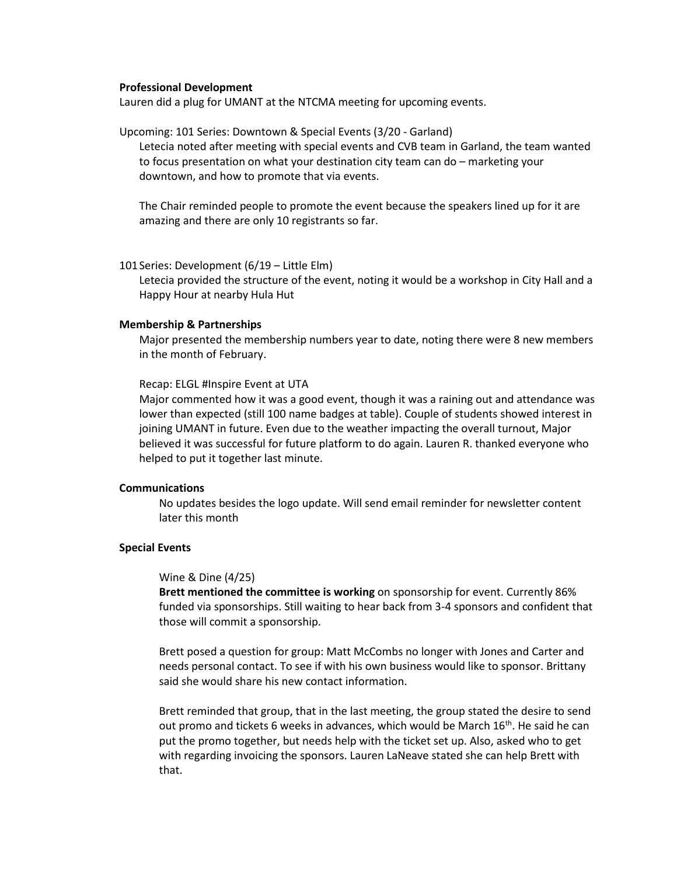#### **Professional Development**

Lauren did a plug for UMANT at the NTCMA meeting for upcoming events.

Upcoming: 101 Series: Downtown & Special Events (3/20 - Garland)

Letecia noted after meeting with special events and CVB team in Garland, the team wanted to focus presentation on what your destination city team can do – marketing your downtown, and how to promote that via events.

The Chair reminded people to promote the event because the speakers lined up for it are amazing and there are only 10 registrants so far.

101Series: Development (6/19 – Little Elm)

Letecia provided the structure of the event, noting it would be a workshop in City Hall and a Happy Hour at nearby Hula Hut

#### **Membership & Partnerships**

Major presented the membership numbers year to date, noting there were 8 new members in the month of February.

Recap: ELGL #Inspire Event at UTA

Major commented how it was a good event, though it was a raining out and attendance was lower than expected (still 100 name badges at table). Couple of students showed interest in joining UMANT in future. Even due to the weather impacting the overall turnout, Major believed it was successful for future platform to do again. Lauren R. thanked everyone who helped to put it together last minute.

#### **Communications**

No updates besides the logo update. Will send email reminder for newsletter content later this month

#### **Special Events**

#### Wine & Dine (4/25)

**Brett mentioned the committee is working** on sponsorship for event. Currently 86% funded via sponsorships. Still waiting to hear back from 3-4 sponsors and confident that those will commit a sponsorship.

Brett posed a question for group: Matt McCombs no longer with Jones and Carter and needs personal contact. To see if with his own business would like to sponsor. Brittany said she would share his new contact information.

Brett reminded that group, that in the last meeting, the group stated the desire to send out promo and tickets 6 weeks in advances, which would be March 16th. He said he can put the promo together, but needs help with the ticket set up. Also, asked who to get with regarding invoicing the sponsors. Lauren LaNeave stated she can help Brett with that.